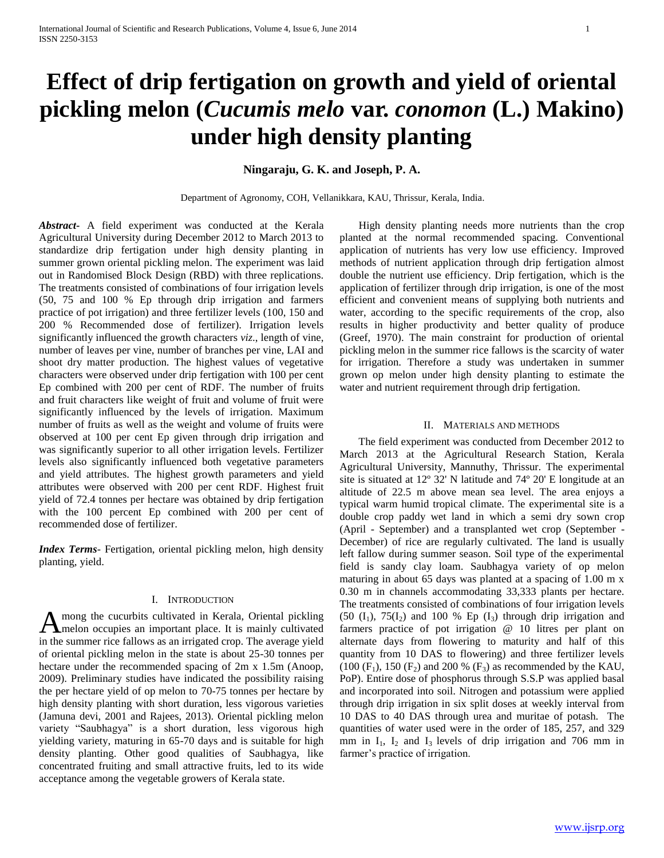# **Effect of drip fertigation on growth and yield of oriental pickling melon (***Cucumis melo* **var.** *conomon* **(L.) Makino) under high density planting**

# **Ningaraju, G. K. and Joseph, P. A.**

Department of Agronomy, COH, Vellanikkara, KAU, Thrissur, Kerala, India.

*Abstract***-** A field experiment was conducted at the Kerala Agricultural University during December 2012 to March 2013 to standardize drip fertigation under high density planting in summer grown oriental pickling melon. The experiment was laid out in Randomised Block Design (RBD) with three replications. The treatments consisted of combinations of four irrigation levels (50, 75 and 100 % Ep through drip irrigation and farmers practice of pot irrigation) and three fertilizer levels (100, 150 and 200 % Recommended dose of fertilizer). Irrigation levels significantly influenced the growth characters *viz*., length of vine, number of leaves per vine, number of branches per vine, LAI and shoot dry matter production. The highest values of vegetative characters were observed under drip fertigation with 100 per cent Ep combined with 200 per cent of RDF. The number of fruits and fruit characters like weight of fruit and volume of fruit were significantly influenced by the levels of irrigation. Maximum number of fruits as well as the weight and volume of fruits were observed at 100 per cent Ep given through drip irrigation and was significantly superior to all other irrigation levels. Fertilizer levels also significantly influenced both vegetative parameters and yield attributes. The highest growth parameters and yield attributes were observed with 200 per cent RDF. Highest fruit yield of 72.4 tonnes per hectare was obtained by drip fertigation with the 100 percent Ep combined with 200 per cent of recommended dose of fertilizer.

*Index Terms*- Fertigation, oriental pickling melon, high density planting, yield.

## I. INTRODUCTION

mong the cucurbits cultivated in Kerala, Oriental pickling A mong the cucurbits cultivated in Kerala, Oriental pickling<br>
In melon occupies an important place. It is mainly cultivated in the summer rice fallows as an irrigated crop. The average yield of oriental pickling melon in the state is about 25-30 tonnes per hectare under the recommended spacing of 2m x 1.5m (Anoop, 2009). Preliminary studies have indicated the possibility raising the per hectare yield of op melon to 70-75 tonnes per hectare by high density planting with short duration, less vigorous varieties (Jamuna devi, 2001 and Rajees, 2013). Oriental pickling melon variety "Saubhagya" is a short duration, less vigorous high yielding variety, maturing in 65-70 days and is suitable for high density planting. Other good qualities of Saubhagya, like concentrated fruiting and small attractive fruits, led to its wide acceptance among the vegetable growers of Kerala state.

 High density planting needs more nutrients than the crop planted at the normal recommended spacing. Conventional application of nutrients has very low use efficiency. Improved methods of nutrient application through drip fertigation almost double the nutrient use efficiency. Drip fertigation, which is the application of fertilizer through drip irrigation, is one of the most efficient and convenient means of supplying both nutrients and water, according to the specific requirements of the crop, also results in higher productivity and better quality of produce (Greef, 1970). The main constraint for production of oriental pickling melon in the summer rice fallows is the scarcity of water for irrigation. Therefore a study was undertaken in summer grown op melon under high density planting to estimate the water and nutrient requirement through drip fertigation.

## II. MATERIALS AND METHODS

 The field experiment was conducted from December 2012 to March 2013 at the Agricultural Research Station, Kerala Agricultural University, Mannuthy, Thrissur. The experimental site is situated at 12º 32' N latitude and 74º 20' E longitude at an altitude of 22.5 m above mean sea level. The area enjoys a typical warm humid tropical climate. The experimental site is a double crop paddy wet land in which a semi dry sown crop (April - September) and a transplanted wet crop (September - December) of rice are regularly cultivated. The land is usually left fallow during summer season. Soil type of the experimental field is sandy clay loam. Saubhagya variety of op melon maturing in about 65 days was planted at a spacing of 1.00 m x 0.30 m in channels accommodating 33,333 plants per hectare. The treatments consisted of combinations of four irrigation levels  $(50 \text{ (I}_1), 75 \text{ (I}_2)$  and 100 % Ep  $(1_3)$  through drip irrigation and farmers practice of pot irrigation @ 10 litres per plant on alternate days from flowering to maturity and half of this quantity from 10 DAS to flowering) and three fertilizer levels  $(100 (F_1), 150 (F_2)$  and 200 %  $(F_3)$  as recommended by the KAU, PoP). Entire dose of phosphorus through S.S.P was applied basal and incorporated into soil. Nitrogen and potassium were applied through drip irrigation in six split doses at weekly interval from 10 DAS to 40 DAS through urea and muritae of potash. The quantities of water used were in the order of 185, 257, and 329 mm in  $I_1$ ,  $I_2$  and  $I_3$  levels of drip irrigation and 706 mm in farmer's practice of irrigation.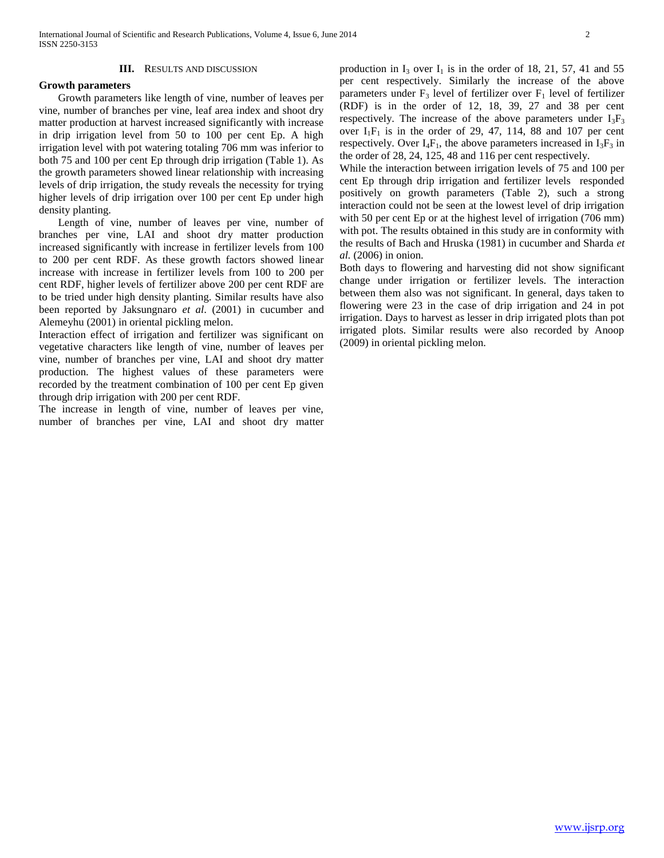## **III.** RESULTS AND DISCUSSION

## **Growth parameters**

 Growth parameters like length of vine, number of leaves per vine, number of branches per vine, leaf area index and shoot dry matter production at harvest increased significantly with increase in drip irrigation level from 50 to 100 per cent Ep. A high irrigation level with pot watering totaling 706 mm was inferior to both 75 and 100 per cent Ep through drip irrigation (Table 1). As the growth parameters showed linear relationship with increasing levels of drip irrigation, the study reveals the necessity for trying higher levels of drip irrigation over 100 per cent Ep under high density planting.

 Length of vine, number of leaves per vine, number of branches per vine, LAI and shoot dry matter production increased significantly with increase in fertilizer levels from 100 to 200 per cent RDF. As these growth factors showed linear increase with increase in fertilizer levels from 100 to 200 per cent RDF, higher levels of fertilizer above 200 per cent RDF are to be tried under high density planting. Similar results have also been reported by Jaksungnaro *et al*. (2001) in cucumber and Alemeyhu (2001) in oriental pickling melon.

Interaction effect of irrigation and fertilizer was significant on vegetative characters like length of vine, number of leaves per vine, number of branches per vine, LAI and shoot dry matter production. The highest values of these parameters were recorded by the treatment combination of 100 per cent Ep given through drip irrigation with 200 per cent RDF.

The increase in length of vine, number of leaves per vine, number of branches per vine, LAI and shoot dry matter production in  $I_3$  over  $I_1$  is in the order of 18, 21, 57, 41 and 55 per cent respectively. Similarly the increase of the above parameters under  $F_3$  level of fertilizer over  $F_1$  level of fertilizer (RDF) is in the order of 12, 18, 39, 27 and 38 per cent respectively. The increase of the above parameters under  $I_3F_3$ over  $I_1F_1$  is in the order of 29, 47, 114, 88 and 107 per cent respectively. Over  $I_4F_1$ , the above parameters increased in  $I_3F_3$  in the order of 28, 24, 125, 48 and 116 per cent respectively.

While the interaction between irrigation levels of 75 and 100 per cent Ep through drip irrigation and fertilizer levels responded positively on growth parameters (Table 2), such a strong interaction could not be seen at the lowest level of drip irrigation with 50 per cent Ep or at the highest level of irrigation (706 mm) with pot. The results obtained in this study are in conformity with the results of Bach and Hruska (1981) in cucumber and Sharda *et al.* (2006) in onion.

Both days to flowering and harvesting did not show significant change under irrigation or fertilizer levels. The interaction between them also was not significant. In general, days taken to flowering were 23 in the case of drip irrigation and 24 in pot irrigation. Days to harvest as lesser in drip irrigated plots than pot irrigated plots. Similar results were also recorded by Anoop (2009) in oriental pickling melon.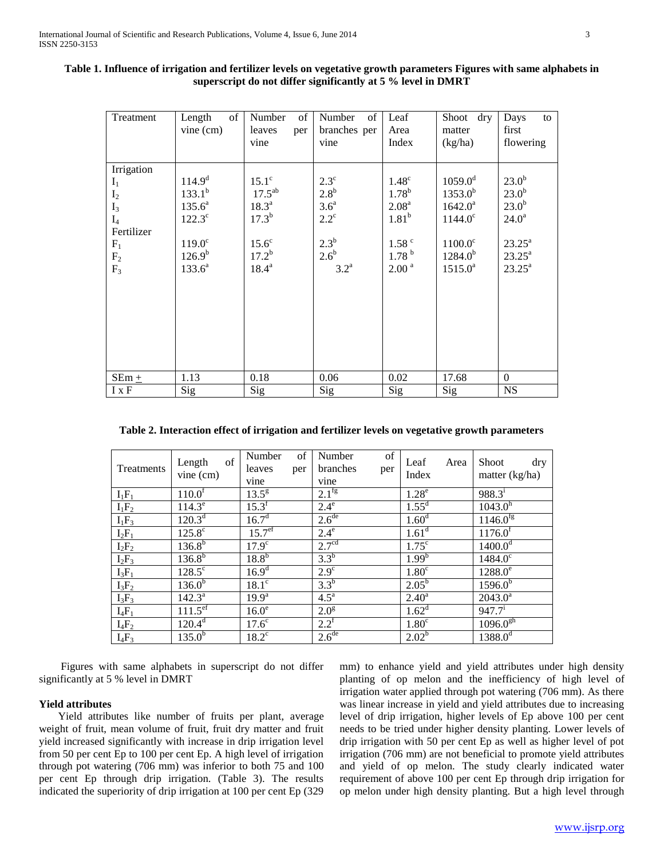| Treatment                                                                                                 | of<br>Length<br>vine (cm)                                                                                      | Number<br>of<br>leaves<br>per<br>vine                                                                    | of<br>Number<br>branches per<br>vine                                                                                  | Leaf<br>Area<br>Index                                                                                                     | Shoot dry<br>matter<br>(kg/ha)                                                                                 | Days<br>to<br>first<br>flowering                                                                                                       |
|-----------------------------------------------------------------------------------------------------------|----------------------------------------------------------------------------------------------------------------|----------------------------------------------------------------------------------------------------------|-----------------------------------------------------------------------------------------------------------------------|---------------------------------------------------------------------------------------------------------------------------|----------------------------------------------------------------------------------------------------------------|----------------------------------------------------------------------------------------------------------------------------------------|
| Irrigation<br>$I_1$<br>I <sub>2</sub><br>$I_3$<br>$I_4$<br>Fertilizer<br>$F_1$<br>F <sub>2</sub><br>$F_3$ | 114.9 <sup>d</sup><br>$133.1^{b}$<br>$135.6^a$<br>$122.3^{\circ}$<br>$119.0^\circ$<br>$126.9^{b}$<br>$133.6^a$ | $15.1^\circ$<br>$17.5^{ab}$<br>18.3 <sup>a</sup><br>$17.3^{b}$<br>$15.6^\circ$<br>$17.2^b$<br>$18.4^{a}$ | $2.3^{\circ}$<br>$2.8^{\rm b}$<br>3.6 <sup>a</sup><br>$2.2^{\circ}$<br>$2.3^{\rm b}$<br>$2.6^b$<br>$3.2^{\mathrm{a}}$ | $1.48^\circ$<br>$1.78^{b}$<br>2.08 <sup>a</sup><br>1.81 <sup>b</sup><br>1.58 <sup>c</sup><br>1.78 <sup>b</sup><br>$2.00a$ | $1059.0^d$<br>$1353.0^{b}$<br>$1642.0^a$<br>$1144.0^{\circ}$<br>$1100.0^{\circ}$<br>$1284.0^{b}$<br>$1515.0^a$ | 23.0 <sup>b</sup><br>23.0 <sup>b</sup><br>23.0 <sup>b</sup><br>$24.0^{\rm a}$<br>$23.25^{\rm a}$<br>$23.25^{\rm a}$<br>$23.25^{\rm a}$ |
| $SEm +$                                                                                                   | 1.13                                                                                                           | 0.18                                                                                                     | 0.06                                                                                                                  | 0.02                                                                                                                      | 17.68                                                                                                          | $\boldsymbol{0}$                                                                                                                       |
| $I \times F$                                                                                              | Sig                                                                                                            | Sig                                                                                                      | Sig                                                                                                                   | Sig                                                                                                                       | Sig                                                                                                            | <b>NS</b>                                                                                                                              |

# **Table 1. Influence of irrigation and fertilizer levels on vegetative growth parameters Figures with same alphabets in superscript do not differ significantly at 5 % level in DMRT**

**Table 2. Interaction effect of irrigation and fertilizer levels on vegetative growth parameters**

| Treatments | of<br>Length<br>$vine$ (cm) | Number<br>leaves<br>vine | of<br>per | Number<br>branches<br>vine | of<br>per | Leaf<br>Index     | Area | <b>Shoot</b><br>dry<br>matter (kg/ha) |
|------------|-----------------------------|--------------------------|-----------|----------------------------|-----------|-------------------|------|---------------------------------------|
| $I_1F_1$   | $110.0^f$                   | $13.5^{\frac{1}{9}}$     |           | $2.1^{fg}$                 |           | 1.28 <sup>e</sup> |      | $988.3^{i}$                           |
| $I_1F_2$   | $114.3^e$                   | $15.3^{f}$               |           | $2.4^e$                    |           | $1.55^d$          |      | 1043.0 <sup>h</sup>                   |
| $I_1F_3$   | $120.3^{d}$                 | $16.7^{\rm d}$           |           | 2.6 <sup>de</sup>          |           | 1.60 <sup>d</sup> |      | $1146.\overline{0^{fg}}$              |
| $I_2F_1$   | $125.8^{\circ}$             | 15.7 <sup>ef</sup>       |           | $2.4^e$                    |           | $1.61^d$          |      | 1176.0 <sup>f</sup>                   |
| $I_2F_2$   | $136.8^{b}$                 | $17.\overline{9^c}$      |           | 2.7 <sup>cd</sup>          |           | $1.75^{\circ}$    |      | $1400.0^{\overline{d}}$               |
| $I_2F_3$   | $136.8^{b}$                 | $18.8^{b}$               |           | $3.3^b$                    |           | 1.99 <sup>b</sup> |      | $1484.0^{\circ}$                      |
| $I_3F_1$   | $128.5^\circ$               | $16.9^{d}$               |           | $2.9^\circ$                |           | 1.80 <sup>c</sup> |      | $1288.0^e$                            |
| $I_3F_2$   | $136.0^{b}$                 | $18.\overline{1^c}$      |           | $3.3^b$                    |           | $2.05^{\rm b}$    |      | $1596.0^{b}$                          |
| $I_3F_3$   | $142.3^a$                   | $19.9^{\rm a}$           |           | $4.5^{\mathrm{a}}$         |           | $2.40^{\rm a}$    |      | $2043.0^a$                            |
| $I_4F_1$   | $111.5^{\text{ef}}$         | 16.0 <sup>e</sup>        |           | 2.0 <sup>g</sup>           |           | $1.62^d$          |      | $947.7^{i}$                           |
| $I_4F_2$   | $120.4^d$                   | 17.6 <sup>c</sup>        |           | $2.2^{\rm f}$              |           | 1.80 <sup>c</sup> |      | $1096.0^{gh}$                         |
| $I_4F_3$   | $135.0^{b}$                 | $18.2^{\circ}$           |           | 2.6 <sup>de</sup>          |           | $2.02^b$          |      | $1388.0^{d}$                          |

 Figures with same alphabets in superscript do not differ significantly at 5 % level in DMRT

# **Yield attributes**

 Yield attributes like number of fruits per plant, average weight of fruit, mean volume of fruit, fruit dry matter and fruit yield increased significantly with increase in drip irrigation level from 50 per cent Ep to 100 per cent Ep. A high level of irrigation through pot watering (706 mm) was inferior to both 75 and 100 per cent Ep through drip irrigation. (Table 3). The results indicated the superiority of drip irrigation at 100 per cent Ep (329

mm) to enhance yield and yield attributes under high density planting of op melon and the inefficiency of high level of irrigation water applied through pot watering (706 mm). As there was linear increase in yield and yield attributes due to increasing level of drip irrigation, higher levels of Ep above 100 per cent needs to be tried under higher density planting. Lower levels of drip irrigation with 50 per cent Ep as well as higher level of pot irrigation (706 mm) are not beneficial to promote yield attributes and yield of op melon. The study clearly indicated water requirement of above 100 per cent Ep through drip irrigation for op melon under high density planting. But a high level through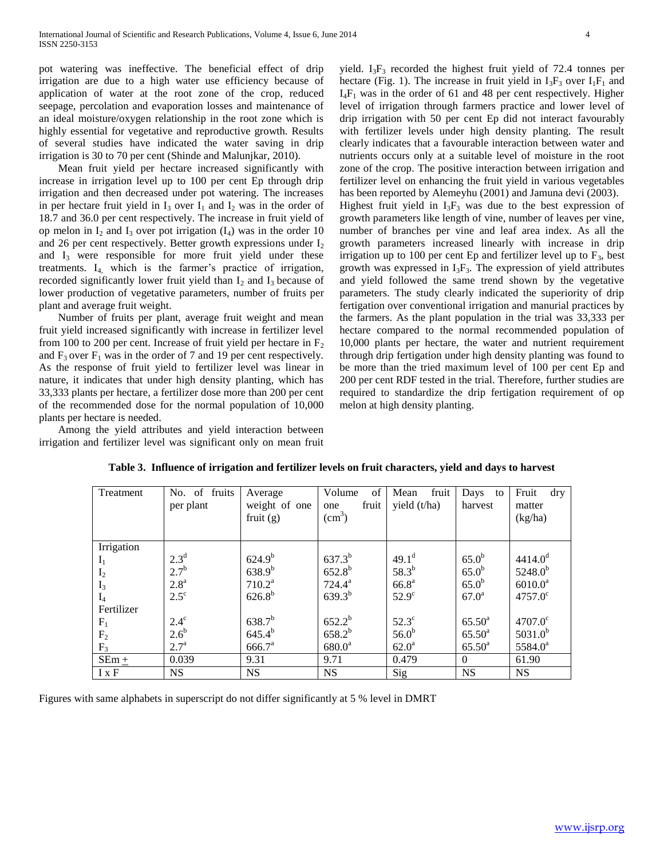pot watering was ineffective. The beneficial effect of drip irrigation are due to a high water use efficiency because of application of water at the root zone of the crop, reduced seepage, percolation and evaporation losses and maintenance of an ideal moisture/oxygen relationship in the root zone which is highly essential for vegetative and reproductive growth. Results of several studies have indicated the water saving in drip irrigation is 30 to 70 per cent (Shinde and Malunjkar, 2010).

 Mean fruit yield per hectare increased significantly with increase in irrigation level up to 100 per cent Ep through drip irrigation and then decreased under pot watering. The increases in per hectare fruit yield in  $I_3$  over  $I_1$  and  $I_2$  was in the order of 18.7 and 36.0 per cent respectively. The increase in fruit yield of op melon in  $I_2$  and  $I_3$  over pot irrigation  $(I_4)$  was in the order 10 and 26 per cent respectively. Better growth expressions under  $I_2$ and  $I_3$  were responsible for more fruit yield under these treatments. I4, which is the farmer's practice of irrigation, recorded significantly lower fruit yield than  $I_2$  and  $I_3$  because of lower production of vegetative parameters, number of fruits per plant and average fruit weight.

 Number of fruits per plant, average fruit weight and mean fruit yield increased significantly with increase in fertilizer level from 100 to 200 per cent. Increase of fruit yield per hectare in  $F_2$ and  $F_3$  over  $F_1$  was in the order of 7 and 19 per cent respectively. As the response of fruit yield to fertilizer level was linear in nature, it indicates that under high density planting, which has 33,333 plants per hectare, a fertilizer dose more than 200 per cent of the recommended dose for the normal population of 10,000 plants per hectare is needed.

 Among the yield attributes and yield interaction between irrigation and fertilizer level was significant only on mean fruit yield.  $I_3F_3$  recorded the highest fruit yield of 72.4 tonnes per hectare (Fig. 1). The increase in fruit yield in  $I_3F_3$  over  $I_1F_1$  and  $I_4F_1$  was in the order of 61 and 48 per cent respectively. Higher level of irrigation through farmers practice and lower level of drip irrigation with 50 per cent Ep did not interact favourably with fertilizer levels under high density planting. The result clearly indicates that a favourable interaction between water and nutrients occurs only at a suitable level of moisture in the root zone of the crop. The positive interaction between irrigation and fertilizer level on enhancing the fruit yield in various vegetables has been reported by Alemeyhu (2001) and Jamuna devi (2003). Highest fruit yield in  $I_3F_3$  was due to the best expression of growth parameters like length of vine, number of leaves per vine, number of branches per vine and leaf area index. As all the growth parameters increased linearly with increase in drip irrigation up to 100 per cent Ep and fertilizer level up to  $F_3$ , best growth was expressed in  $I_3F_3$ . The expression of yield attributes and yield followed the same trend shown by the vegetative parameters. The study clearly indicated the superiority of drip fertigation over conventional irrigation and manurial practices by the farmers. As the plant population in the trial was 33,333 per hectare compared to the normal recommended population of 10,000 plants per hectare, the water and nutrient requirement through drip fertigation under high density planting was found to be more than the tried maximum level of 100 per cent Ep and 200 per cent RDF tested in the trial. Therefore, further studies are required to standardize the drip fertigation requirement of op melon at high density planting.

| Treatment      | No. of fruits<br>per plant | Average<br>weight of one<br>fruit $(g)$ | of<br>Volume<br>fruit<br>one<br>(cm <sup>3</sup> ) | Mean<br>fruit<br>yield $(t/ha)$ | Days to<br>harvest | Fruit<br>$\rm{d}$ ry<br>matter<br>(kg/ha) |
|----------------|----------------------------|-----------------------------------------|----------------------------------------------------|---------------------------------|--------------------|-------------------------------------------|
| Irrigation     |                            |                                         |                                                    |                                 |                    |                                           |
| $I_1$          | 2.3 <sup>d</sup>           | $624.9^{b}$                             | $637.3^{b}$                                        | $49.1^d$                        | 65.0 <sup>b</sup>  | 4414.0 <sup>d</sup>                       |
| I <sub>2</sub> | $2.7^{b}$                  | $638.9^{b}$                             | $652.8^{b}$                                        | $58.3^{b}$                      | 65.0 <sup>b</sup>  | $5248.0^{b}$                              |
| $I_3$          | 2.8 <sup>a</sup>           | $710.2^a$                               | $724.4^a$                                          | 66.8 <sup>a</sup>               | 65.0 <sup>b</sup>  | $6010.0^a$                                |
| $I_4$          | $2.5^{\circ}$              | $626.8^{b}$                             | $639.3^{b}$                                        | $52.9^\circ$                    | $67.0^{\rm a}$     | $4757.0^{\circ}$                          |
| Fertilizer     |                            |                                         |                                                    |                                 |                    |                                           |
| $F_1$          | $2.4^\circ$                | $638.7^{b}$                             | $652.2^{b}$                                        | $52.3^\circ$                    | $65.50^{\rm a}$    | $4707.0^{\circ}$                          |
| F <sub>2</sub> | $2.6^{\rm b}$              | $645.4^{b}$                             | $658.2^{b}$                                        | 56.0 <sup>b</sup>               | $65.50^{\rm a}$    | $5031.0^{b}$                              |
| $F_3$          | $2.7^{\rm a}$              | 666.7 <sup>a</sup>                      | $680.0^a$                                          | 62.0 <sup>a</sup>               | $65.50^{\rm a}$    | $5584.0^a$                                |
| $SEm +$        | 0.039                      | 9.31                                    | 9.71                                               | 0.479                           | $\overline{0}$     | 61.90                                     |
| $I \times F$   | <b>NS</b>                  | <b>NS</b>                               | <b>NS</b>                                          | Sig                             | <b>NS</b>          | <b>NS</b>                                 |

|  | Table 3. Influence of irrigation and fertilizer levels on fruit characters, yield and days to harvest |  |
|--|-------------------------------------------------------------------------------------------------------|--|
|  |                                                                                                       |  |

Figures with same alphabets in superscript do not differ significantly at 5 % level in DMRT